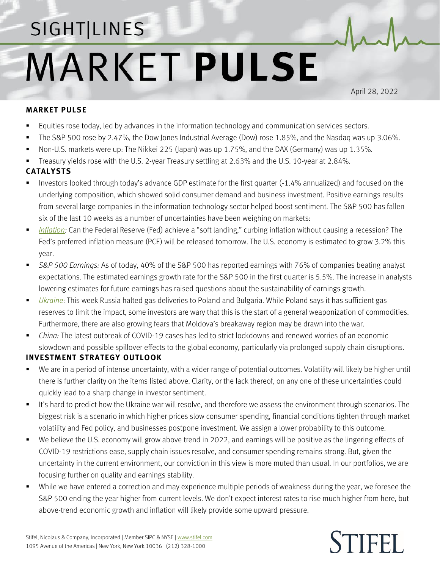## SIGHT LINES **MARKET PULSE**

April 28, 2022

## **MARKET PULSE**

- **Equities rose today, led by advances in the information technology and communication services sectors.**
- The S&P 500 rose by 2.47%, the Dow Jones Industrial Average (Dow) rose 1.85%, and the Nasdaq was up 3.06%.
- Non-U.S. markets were up: The Nikkei 225 (Japan) was up 1.75%, and the DAX (Germany) was up 1.35%.
- Treasury yields rose with the U.S. 2-year Treasury settling at 2.63% and the U.S. 10-year at 2.84%.

## **CATALYSTS**

- Investors looked through today's advance GDP estimate for the first quarter (-1.4% annualized) and focused on the underlying composition, which showed solid consumer demand and business investment. Positive earnings results from several large companies in the information technology sector helped boost sentiment. The S&P 500 has fallen six of the last 10 weeks as a number of uncertainties have been weighing on markets:
- *[Inflation:](https://www.stifel.com/Newsletters/AdGraphics/InSight/Sightlines/2022/SL042222.pdf)* Can the Federal Reserve (Fed) achieve a "soft landing," curbing inflation without causing a recession? The Fed's preferred inflation measure (PCE) will be released tomorrow. The U.S. economy is estimated to grow 3.2% this year.
- *S&P 500 Earnings:* As of today, 40% of the S&P 500 has reported earnings with 76% of companies beating analyst expectations. The estimated earnings growth rate for the S&P 500 in the first quarter is 5.5%. The increase in analysts lowering estimates for future earnings has raised questions about the sustainability of earnings growth.
- *[Ukraine](https://www.stifel.com/newsletters/AdGraphics/InSight/Major-Themes/MT.html)*: This week Russia halted gas deliveries to Poland and Bulgaria. While Poland says it has sufficient gas reserves to limit the impact, some investors are wary that this is the start of a general weaponization of commodities. Furthermore, there are also growing fears that Moldova's breakaway region may be drawn into the war.
- *China:* The latest outbreak of COVID-19 cases has led to strict lockdowns and renewed worries of an economic slowdown and possible spillover effects to the global economy, particularly via prolonged supply chain disruptions.

## **INVESTMENT STRATEGY OUTLOOK**

- We are in a period of intense uncertainty, with a wider range of potential outcomes. Volatility will likely be higher until there is further clarity on the items listed above. Clarity, or the lack thereof, on any one of these uncertainties could quickly lead to a sharp change in investor sentiment.
- It's hard to predict how the Ukraine war will resolve, and therefore we assess the environment through scenarios. The biggest risk is a scenario in which higher prices slow consumer spending, financial conditions tighten through market volatility and Fed policy, and businesses postpone investment. We assign a lower probability to this outcome.
- We believe the U.S. economy will grow above trend in 2022, and earnings will be positive as the lingering effects of COVID-19 restrictions ease, supply chain issues resolve, and consumer spending remains strong. But, given the uncertainty in the current environment, our conviction in this view is more muted than usual. In our portfolios, we are focusing further on quality and earnings stability.
- While we have entered a correction and may experience multiple periods of weakness during the year, we foresee the S&P 500 ending the year higher from current levels. We don't expect interest rates to rise much higher from here, but above-trend economic growth and inflation will likely provide some upward pressure.